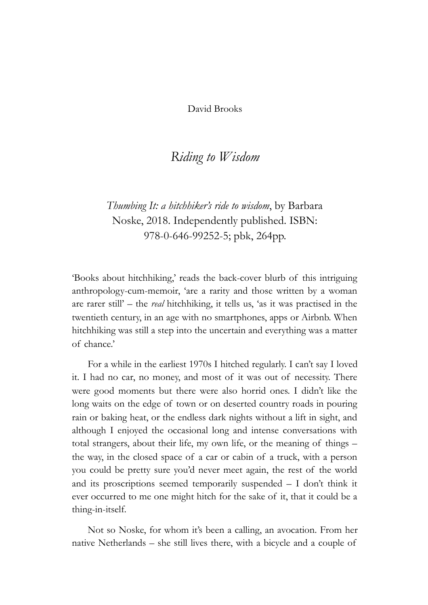David Brooks

## *Riding to Wisdom*

*Thumbing It: a hitchhiker's ride to wisdom*, by Barbara Noske, 2018. Independently published. ISBN: 978-0-646-99252-5; pbk, 264pp.

'Books about hitchhiking,' reads the back-cover blurb of this intriguing anthropology-cum-memoir, 'are a rarity and those written by a woman are rarer still' – the *real* hitchhiking, it tells us, 'as it was practised in the twentieth century, in an age with no smartphones, apps or Airbnb. When hitchhiking was still a step into the uncertain and everything was a matter of chance.'

For a while in the earliest 1970s I hitched regularly. I can't say I loved it. I had no car, no money, and most of it was out of necessity. There were good moments but there were also horrid ones. I didn't like the long waits on the edge of town or on deserted country roads in pouring rain or baking heat, or the endless dark nights without a lift in sight, and although I enjoyed the occasional long and intense conversations with total strangers, about their life, my own life, or the meaning of things – the way, in the closed space of a car or cabin of a truck, with a person you could be pretty sure you'd never meet again, the rest of the world and its proscriptions seemed temporarily suspended – I don't think it ever occurred to me one might hitch for the sake of it, that it could be a thing-in-itself.

Not so Noske, for whom it's been a calling, an avocation. From her native Netherlands – she still lives there, with a bicycle and a couple of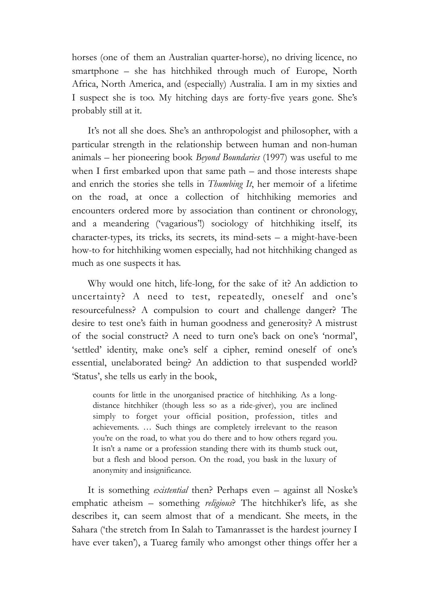horses (one of them an Australian quarter-horse), no driving licence, no smartphone – she has hitchhiked through much of Europe, North Africa, North America, and (especially) Australia. I am in my sixties and I suspect she is too. My hitching days are forty-five years gone. She's probably still at it.

It's not all she does. She's an anthropologist and philosopher, with a particular strength in the relationship between human and non-human animals – her pioneering book *Beyond Boundaries* (1997) was useful to me when I first embarked upon that same path – and those interests shape and enrich the stories she tells in *Thumbing It*, her memoir of a lifetime on the road, at once a collection of hitchhiking memories and encounters ordered more by association than continent or chronology, and a meandering ('vagarious'!) sociology of hitchhiking itself, its character-types, its tricks, its secrets, its mind-sets – a might-have-been how-to for hitchhiking women especially, had not hitchhiking changed as much as one suspects it has.

Why would one hitch, life-long, for the sake of it? An addiction to uncertainty? A need to test, repeatedly, oneself and one's resourcefulness? A compulsion to court and challenge danger? The desire to test one's faith in human goodness and generosity? A mistrust of the social construct? A need to turn one's back on one's 'normal', 'settled' identity, make one's self a cipher, remind oneself of one's essential, unelaborated being? An addiction to that suspended world? 'Status', she tells us early in the book,

counts for little in the unorganised practice of hitchhiking. As a longdistance hitchhiker (though less so as a ride-giver), you are inclined simply to forget your official position, profession, titles and achievements. … Such things are completely irrelevant to the reason you're on the road, to what you do there and to how others regard you. It isn't a name or a profession standing there with its thumb stuck out, but a flesh and blood person. On the road, you bask in the luxury of anonymity and insignificance.

It is something *existential* then? Perhaps even – against all Noske's emphatic atheism – something *religious*? The hitchhiker's life, as she describes it, can seem almost that of a mendicant. She meets, in the Sahara ('the stretch from In Salah to Tamanrasset is the hardest journey I have ever taken'), a Tuareg family who amongst other things offer her a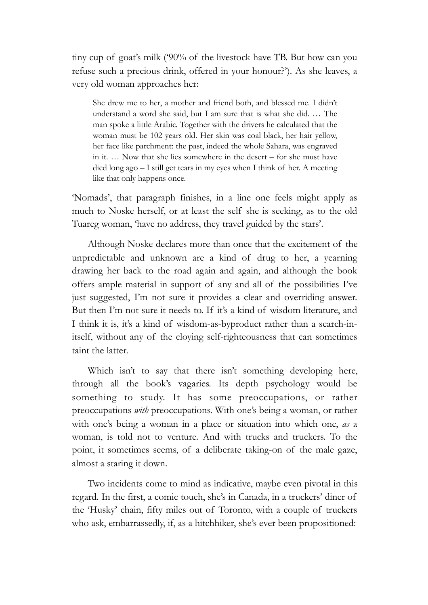tiny cup of goat's milk ('90% of the livestock have TB. But how can you refuse such a precious drink, offered in your honour?'). As she leaves, a very old woman approaches her:

She drew me to her, a mother and friend both, and blessed me. I didn't understand a word she said, but I am sure that is what she did. … The man spoke a little Arabic. Together with the drivers he calculated that the woman must be 102 years old. Her skin was coal black, her hair yellow, her face like parchment: the past, indeed the whole Sahara, was engraved in it. … Now that she lies somewhere in the desert – for she must have died long ago – I still get tears in my eyes when I think of her. A meeting like that only happens once.

'Nomads', that paragraph finishes, in a line one feels might apply as much to Noske herself, or at least the self she is seeking, as to the old Tuareg woman, 'have no address, they travel guided by the stars'.

Although Noske declares more than once that the excitement of the unpredictable and unknown are a kind of drug to her, a yearning drawing her back to the road again and again, and although the book offers ample material in support of any and all of the possibilities I've just suggested, I'm not sure it provides a clear and overriding answer. But then I'm not sure it needs to. If it's a kind of wisdom literature, and I think it is, it's a kind of wisdom-as-byproduct rather than a search-initself, without any of the cloying self-righteousness that can sometimes taint the latter.

Which isn't to say that there isn't something developing here, through all the book's vagaries. Its depth psychology would be something to study. It has some preoccupations, or rather preoccupations *with* preoccupations. With one's being a woman, or rather with one's being a woman in a place or situation into which one, *as* a woman, is told not to venture. And with trucks and truckers. To the point, it sometimes seems, of a deliberate taking-on of the male gaze, almost a staring it down.

Two incidents come to mind as indicative, maybe even pivotal in this regard. In the first, a comic touch, she's in Canada, in a truckers' diner of the 'Husky' chain, fifty miles out of Toronto, with a couple of truckers who ask, embarrassedly, if, as a hitchhiker, she's ever been propositioned: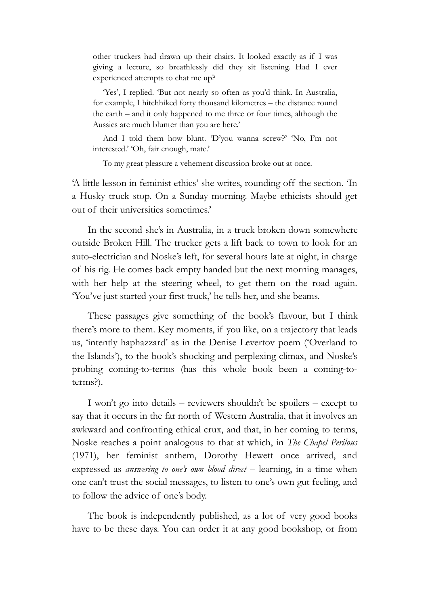other truckers had drawn up their chairs. It looked exactly as if I was giving a lecture, so breathlessly did they sit listening. Had I ever experienced attempts to chat me up?

'Yes', I replied. 'But not nearly so often as you'd think. In Australia, for example, I hitchhiked forty thousand kilometres – the distance round the earth – and it only happened to me three or four times, although the Aussies are much blunter than you are here.'

And I told them how blunt. 'D'you wanna screw?' 'No, I'm not interested.' 'Oh, fair enough, mate.'

To my great pleasure a vehement discussion broke out at once.

'A little lesson in feminist ethics' she writes, rounding off the section. 'In a Husky truck stop. On a Sunday morning. Maybe ethicists should get out of their universities sometimes.'

In the second she's in Australia, in a truck broken down somewhere outside Broken Hill. The trucker gets a lift back to town to look for an auto-electrician and Noske's left, for several hours late at night, in charge of his rig. He comes back empty handed but the next morning manages, with her help at the steering wheel, to get them on the road again. 'You've just started your first truck,' he tells her, and she beams.

These passages give something of the book's flavour, but I think there's more to them. Key moments, if you like, on a trajectory that leads us, 'intently haphazzard' as in the Denise Levertov poem ('Overland to the Islands'), to the book's shocking and perplexing climax, and Noske's probing coming-to-terms (has this whole book been a coming-toterms?).

I won't go into details – reviewers shouldn't be spoilers – except to say that it occurs in the far north of Western Australia, that it involves an awkward and confronting ethical crux, and that, in her coming to terms, Noske reaches a point analogous to that at which, in *The Chapel Perilous*  (1971), her feminist anthem, Dorothy Hewett once arrived, and expressed as *answering to one's own blood direct* – learning, in a time when one can't trust the social messages, to listen to one's own gut feeling, and to follow the advice of one's body.

The book is independently published, as a lot of very good books have to be these days. You can order it at any good bookshop, or from